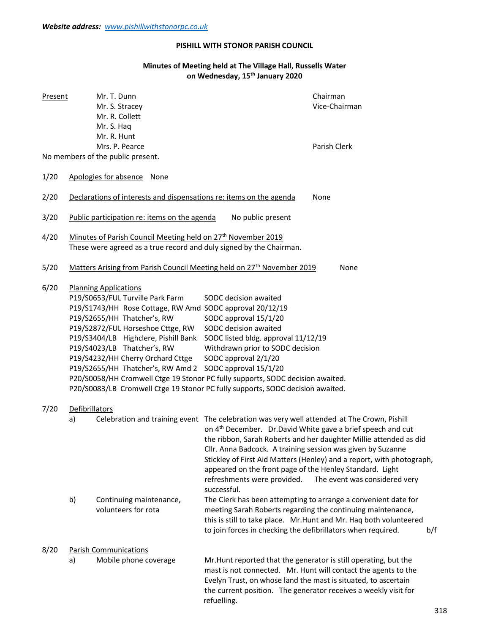## PISHILL WITH STONOR PARISH COUNCIL

## Minutes of Meeting held at The Village Hall, Russells Water on Wednesday, 15th January 2020

| <b>Present</b> | Mr. T. Dunn<br>Mr. S. Stracey<br>Mr. R. Collett<br>Mr. S. Haq<br>Mr. R. Hunt<br>Mrs. P. Pearce                                                                                                                                                                                                                                                                                                                                                                                                                                                                                                                                                                                                                                                                                                                                                                                               |      |                                                                                                                                                                                                                                                                                                                                                                                                                                                                                                            | Chairman<br>Vice-Chairman<br>Parish Clerk                      |  |  |  |
|----------------|----------------------------------------------------------------------------------------------------------------------------------------------------------------------------------------------------------------------------------------------------------------------------------------------------------------------------------------------------------------------------------------------------------------------------------------------------------------------------------------------------------------------------------------------------------------------------------------------------------------------------------------------------------------------------------------------------------------------------------------------------------------------------------------------------------------------------------------------------------------------------------------------|------|------------------------------------------------------------------------------------------------------------------------------------------------------------------------------------------------------------------------------------------------------------------------------------------------------------------------------------------------------------------------------------------------------------------------------------------------------------------------------------------------------------|----------------------------------------------------------------|--|--|--|
|                | No members of the public present.                                                                                                                                                                                                                                                                                                                                                                                                                                                                                                                                                                                                                                                                                                                                                                                                                                                            |      |                                                                                                                                                                                                                                                                                                                                                                                                                                                                                                            |                                                                |  |  |  |
| 1/20           | Apologies for absence                                                                                                                                                                                                                                                                                                                                                                                                                                                                                                                                                                                                                                                                                                                                                                                                                                                                        | None |                                                                                                                                                                                                                                                                                                                                                                                                                                                                                                            |                                                                |  |  |  |
| 2/20           | Declarations of interests and dispensations re: items on the agenda<br>None                                                                                                                                                                                                                                                                                                                                                                                                                                                                                                                                                                                                                                                                                                                                                                                                                  |      |                                                                                                                                                                                                                                                                                                                                                                                                                                                                                                            |                                                                |  |  |  |
| 3/20           | Public participation re: items on the agenda<br>No public present                                                                                                                                                                                                                                                                                                                                                                                                                                                                                                                                                                                                                                                                                                                                                                                                                            |      |                                                                                                                                                                                                                                                                                                                                                                                                                                                                                                            |                                                                |  |  |  |
| 4/20           | Minutes of Parish Council Meeting held on 27 <sup>th</sup> November 2019<br>These were agreed as a true record and duly signed by the Chairman.                                                                                                                                                                                                                                                                                                                                                                                                                                                                                                                                                                                                                                                                                                                                              |      |                                                                                                                                                                                                                                                                                                                                                                                                                                                                                                            |                                                                |  |  |  |
| 5/20           | Matters Arising from Parish Council Meeting held on 27 <sup>th</sup> November 2019<br><b>None</b>                                                                                                                                                                                                                                                                                                                                                                                                                                                                                                                                                                                                                                                                                                                                                                                            |      |                                                                                                                                                                                                                                                                                                                                                                                                                                                                                                            |                                                                |  |  |  |
| 6/20           | <b>Planning Applications</b><br>P19/S0653/FUL Turville Park Farm<br>P19/S2655/HH Thatcher's, RW<br>P19/S2872/FUL Horseshoe Cttge, RW<br>P19/S4023/LB Thatcher's, RW<br>P19/S4232/HH Cherry Orchard Cttge                                                                                                                                                                                                                                                                                                                                                                                                                                                                                                                                                                                                                                                                                     |      | SODC decision awaited<br>P19/S1743/HH Rose Cottage, RW Amd SODC approval 20/12/19<br>SODC approval 15/1/20<br>SODC decision awaited<br>P19/S3404/LB Highclere, Pishill Bank SODC listed bldg. approval 11/12/19<br>Withdrawn prior to SODC decision<br>SODC approval 2/1/20<br>P19/S2655/HH Thatcher's, RW Amd 2 SODC approval 15/1/20<br>P20/S0058/HH Cromwell Ctge 19 Stonor PC fully supports, SODC decision awaited.<br>P20/S0083/LB Cromwell Ctge 19 Stonor PC fully supports, SODC decision awaited. |                                                                |  |  |  |
| 7/20           | Defibrillators<br>Celebration and training event The celebration was very well attended at The Crown, Pishill<br>a)<br>on 4 <sup>th</sup> December. Dr.David White gave a brief speech and cut<br>the ribbon, Sarah Roberts and her daughter Millie attended as did<br>Cllr. Anna Badcock. A training session was given by Suzanne<br>Stickley of First Aid Matters (Henley) and a report, with photograph,<br>appeared on the front page of the Henley Standard. Light<br>refreshments were provided.<br>The event was considered very<br>successful.<br>b)<br>Continuing maintenance,<br>The Clerk has been attempting to arrange a convenient date for<br>volunteers for rota<br>meeting Sarah Roberts regarding the continuing maintenance,<br>this is still to take place. Mr. Hunt and Mr. Haq both volunteered<br>to join forces in checking the defibrillators when required.<br>b/f |      |                                                                                                                                                                                                                                                                                                                                                                                                                                                                                                            |                                                                |  |  |  |
| 8/20           | <b>Parish Communications</b><br>Mobile phone coverage<br>a)                                                                                                                                                                                                                                                                                                                                                                                                                                                                                                                                                                                                                                                                                                                                                                                                                                  |      | Mr. Hunt reported that the generator is still operating, but the<br>Evelyn Trust, on whose land the mast is situated, to ascertain<br>the current position. The generator receives a weekly visit for                                                                                                                                                                                                                                                                                                      | mast is not connected. Mr. Hunt will contact the agents to the |  |  |  |

refuelling.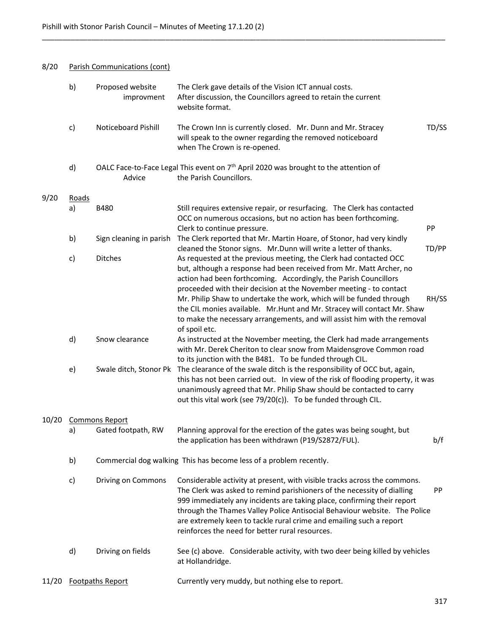## 8/20 Parish Communications (cont)

|       | b)                    | Proposed website<br>improvment                                                                                                                                                                                                                                                                                                  | The Clerk gave details of the Vision ICT annual costs.<br>After discussion, the Councillors agreed to retain the current<br>website format.                                                                                                                                                                                                                                                                                            |       |  |  |  |  |
|-------|-----------------------|---------------------------------------------------------------------------------------------------------------------------------------------------------------------------------------------------------------------------------------------------------------------------------------------------------------------------------|----------------------------------------------------------------------------------------------------------------------------------------------------------------------------------------------------------------------------------------------------------------------------------------------------------------------------------------------------------------------------------------------------------------------------------------|-------|--|--|--|--|
|       | c)                    | <b>Noticeboard Pishill</b>                                                                                                                                                                                                                                                                                                      | The Crown Inn is currently closed. Mr. Dunn and Mr. Stracey<br>will speak to the owner regarding the removed noticeboard<br>when The Crown is re-opened.                                                                                                                                                                                                                                                                               | TD/SS |  |  |  |  |
|       | d)                    | Advice                                                                                                                                                                                                                                                                                                                          | OALC Face-to-Face Legal This event on 7 <sup>th</sup> April 2020 was brought to the attention of<br>the Parish Councillors.                                                                                                                                                                                                                                                                                                            |       |  |  |  |  |
| 9/20  | Roads                 |                                                                                                                                                                                                                                                                                                                                 |                                                                                                                                                                                                                                                                                                                                                                                                                                        |       |  |  |  |  |
|       | a)                    | <b>B480</b>                                                                                                                                                                                                                                                                                                                     | Still requires extensive repair, or resurfacing. The Clerk has contacted<br>OCC on numerous occasions, but no action has been forthcoming.<br>Clerk to continue pressure.                                                                                                                                                                                                                                                              | PP    |  |  |  |  |
|       | b)                    | Sign cleaning in parish                                                                                                                                                                                                                                                                                                         | The Clerk reported that Mr. Martin Hoare, of Stonor, had very kindly                                                                                                                                                                                                                                                                                                                                                                   |       |  |  |  |  |
|       | c)                    | <b>Ditches</b>                                                                                                                                                                                                                                                                                                                  | cleaned the Stonor signs. Mr.Dunn will write a letter of thanks.<br>As requested at the previous meeting, the Clerk had contacted OCC<br>but, although a response had been received from Mr. Matt Archer, no                                                                                                                                                                                                                           | TD/PP |  |  |  |  |
|       |                       |                                                                                                                                                                                                                                                                                                                                 | action had been forthcoming. Accordingly, the Parish Councillors<br>proceeded with their decision at the November meeting - to contact<br>Mr. Philip Shaw to undertake the work, which will be funded through<br>the CIL monies available. Mr. Hunt and Mr. Stracey will contact Mr. Shaw<br>to make the necessary arrangements, and will assist him with the removal                                                                  | RH/SS |  |  |  |  |
|       | d)                    | Snow clearance                                                                                                                                                                                                                                                                                                                  | of spoil etc.<br>As instructed at the November meeting, the Clerk had made arrangements<br>with Mr. Derek Cheriton to clear snow from Maidensgrove Common road<br>to its junction with the B481. To be funded through CIL.                                                                                                                                                                                                             |       |  |  |  |  |
|       | e)                    | The clearance of the swale ditch is the responsibility of OCC but, again,<br>Swale ditch, Stonor Pk<br>this has not been carried out. In view of the risk of flooding property, it was<br>unanimously agreed that Mr. Philip Shaw should be contacted to carry<br>out this vital work (see 79/20(c)). To be funded through CIL. |                                                                                                                                                                                                                                                                                                                                                                                                                                        |       |  |  |  |  |
| 10/20 | <b>Commons Report</b> |                                                                                                                                                                                                                                                                                                                                 |                                                                                                                                                                                                                                                                                                                                                                                                                                        |       |  |  |  |  |
|       | a)                    | Gated footpath, RW                                                                                                                                                                                                                                                                                                              | Planning approval for the erection of the gates was being sought, but<br>the application has been withdrawn (P19/S2872/FUL).                                                                                                                                                                                                                                                                                                           | b/f   |  |  |  |  |
|       | b)                    | Commercial dog walking This has become less of a problem recently.                                                                                                                                                                                                                                                              |                                                                                                                                                                                                                                                                                                                                                                                                                                        |       |  |  |  |  |
|       | c)                    | Driving on Commons                                                                                                                                                                                                                                                                                                              | Considerable activity at present, with visible tracks across the commons.<br>The Clerk was asked to remind parishioners of the necessity of dialling<br>999 immediately any incidents are taking place, confirming their report<br>through the Thames Valley Police Antisocial Behaviour website. The Police<br>are extremely keen to tackle rural crime and emailing such a report<br>reinforces the need for better rural resources. | PP    |  |  |  |  |
|       | d)                    | Driving on fields                                                                                                                                                                                                                                                                                                               | See (c) above. Considerable activity, with two deer being killed by vehicles<br>at Hollandridge.                                                                                                                                                                                                                                                                                                                                       |       |  |  |  |  |
| 11/20 |                       | Footpaths Report                                                                                                                                                                                                                                                                                                                | Currently very muddy, but nothing else to report.                                                                                                                                                                                                                                                                                                                                                                                      |       |  |  |  |  |

 $\_$  ,  $\_$  ,  $\_$  ,  $\_$  ,  $\_$  ,  $\_$  ,  $\_$  ,  $\_$  ,  $\_$  ,  $\_$  ,  $\_$  ,  $\_$  ,  $\_$  ,  $\_$  ,  $\_$  ,  $\_$  ,  $\_$  ,  $\_$  ,  $\_$  ,  $\_$  ,  $\_$  ,  $\_$  ,  $\_$  ,  $\_$  ,  $\_$  ,  $\_$  ,  $\_$  ,  $\_$  ,  $\_$  ,  $\_$  ,  $\_$  ,  $\_$  ,  $\_$  ,  $\_$  ,  $\_$  ,  $\_$  ,  $\_$  ,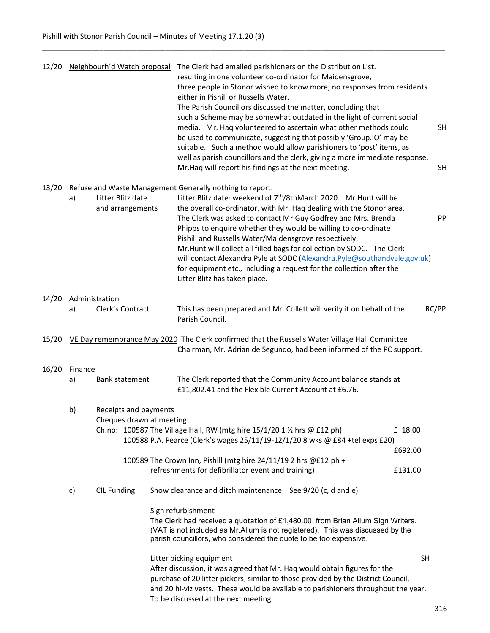| 12/20 |                                                                                                         |                                                                                                                                                                         | Neighbourh'd Watch proposal | The Clerk had emailed parishioners on the Distribution List.<br>resulting in one volunteer co-ordinator for Maidensgrove,<br>three people in Stonor wished to know more, no responses from residents<br>either in Pishill or Russells Water.<br>The Parish Councillors discussed the matter, concluding that<br>such a Scheme may be somewhat outdated in the light of current social<br>media. Mr. Haq volunteered to ascertain what other methods could<br>be used to communicate, suggesting that possibly 'Group.IO' may be<br>suitable. Such a method would allow parishioners to 'post' items, as<br>well as parish councillors and the clerk, giving a more immediate response.<br>Mr. Haq will report his findings at the next meeting. |                               | <b>SH</b><br><b>SH</b> |  |
|-------|---------------------------------------------------------------------------------------------------------|-------------------------------------------------------------------------------------------------------------------------------------------------------------------------|-----------------------------|-------------------------------------------------------------------------------------------------------------------------------------------------------------------------------------------------------------------------------------------------------------------------------------------------------------------------------------------------------------------------------------------------------------------------------------------------------------------------------------------------------------------------------------------------------------------------------------------------------------------------------------------------------------------------------------------------------------------------------------------------|-------------------------------|------------------------|--|
| 13/20 | Refuse and Waste Management Generally nothing to report.<br>Litter Blitz date<br>a)<br>and arrangements |                                                                                                                                                                         |                             | Litter Blitz date: weekend of 7 <sup>th</sup> /8thMarch 2020. Mr.Hunt will be<br>the overall co-ordinator, with Mr. Haq dealing with the Stonor area.<br>The Clerk was asked to contact Mr. Guy Godfrey and Mrs. Brenda<br>Phipps to enquire whether they would be willing to co-ordinate<br>Pishill and Russells Water/Maidensgrove respectively.<br>Mr. Hunt will collect all filled bags for collection by SODC. The Clerk<br>will contact Alexandra Pyle at SODC (Alexandra.Pyle@southandvale.gov.uk)<br>for equipment etc., including a request for the collection after the<br>Litter Blitz has taken place.                                                                                                                              |                               |                        |  |
| 14/20 | a)                                                                                                      | Administration<br>Clerk's Contract                                                                                                                                      |                             | This has been prepared and Mr. Collett will verify it on behalf of the<br>Parish Council.                                                                                                                                                                                                                                                                                                                                                                                                                                                                                                                                                                                                                                                       |                               | RC/PP                  |  |
| 15/20 |                                                                                                         | VE Day remembrance May 2020 The Clerk confirmed that the Russells Water Village Hall Committee<br>Chairman, Mr. Adrian de Segundo, had been informed of the PC support. |                             |                                                                                                                                                                                                                                                                                                                                                                                                                                                                                                                                                                                                                                                                                                                                                 |                               |                        |  |
| 16/20 | <b>Finance</b><br>a)                                                                                    | Bank statement                                                                                                                                                          |                             | The Clerk reported that the Community Account balance stands at<br>£11,802.41 and the Flexible Current Account at £6.76.                                                                                                                                                                                                                                                                                                                                                                                                                                                                                                                                                                                                                        |                               |                        |  |
|       | b)<br>Receipts and payments<br>Cheques drawn at meeting:                                                |                                                                                                                                                                         |                             | Ch.no: 100587 The Village Hall, RW (mtg hire $15/1/20$ 1 % hrs @ £12 ph)<br>100588 P.A. Pearce (Clerk's wages 25/11/19-12/1/20 8 wks @ £84 +tel exps £20)<br>100589 The Crown Inn, Pishill (mtg hire 24/11/19 2 hrs @£12 ph +<br>refreshments for defibrillator event and training)                                                                                                                                                                                                                                                                                                                                                                                                                                                             | £ 18.00<br>£692.00<br>£131.00 |                        |  |
|       | <b>CIL Funding</b><br>c)                                                                                |                                                                                                                                                                         |                             | Snow clearance and ditch maintenance See 9/20 (c, d and e)<br>Sign refurbishment<br>The Clerk had received a quotation of £1,480.00. from Brian Allum Sign Writers.<br>(VAT is not included as Mr.Allum is not registered). This was discussed by the<br>parish councillors, who considered the quote to be too expensive.                                                                                                                                                                                                                                                                                                                                                                                                                      |                               |                        |  |
|       |                                                                                                         |                                                                                                                                                                         |                             | Litter picking equipment<br>After discussion, it was agreed that Mr. Haq would obtain figures for the<br>purchase of 20 litter pickers, similar to those provided by the District Council,<br>and 20 hi-viz vests. These would be available to parishioners throughout the year.<br>To be discussed at the next meeting.                                                                                                                                                                                                                                                                                                                                                                                                                        |                               | <b>SH</b>              |  |

 $\_$  ,  $\_$  ,  $\_$  ,  $\_$  ,  $\_$  ,  $\_$  ,  $\_$  ,  $\_$  ,  $\_$  ,  $\_$  ,  $\_$  ,  $\_$  ,  $\_$  ,  $\_$  ,  $\_$  ,  $\_$  ,  $\_$  ,  $\_$  ,  $\_$  ,  $\_$  ,  $\_$  ,  $\_$  ,  $\_$  ,  $\_$  ,  $\_$  ,  $\_$  ,  $\_$  ,  $\_$  ,  $\_$  ,  $\_$  ,  $\_$  ,  $\_$  ,  $\_$  ,  $\_$  ,  $\_$  ,  $\_$  ,  $\_$  ,